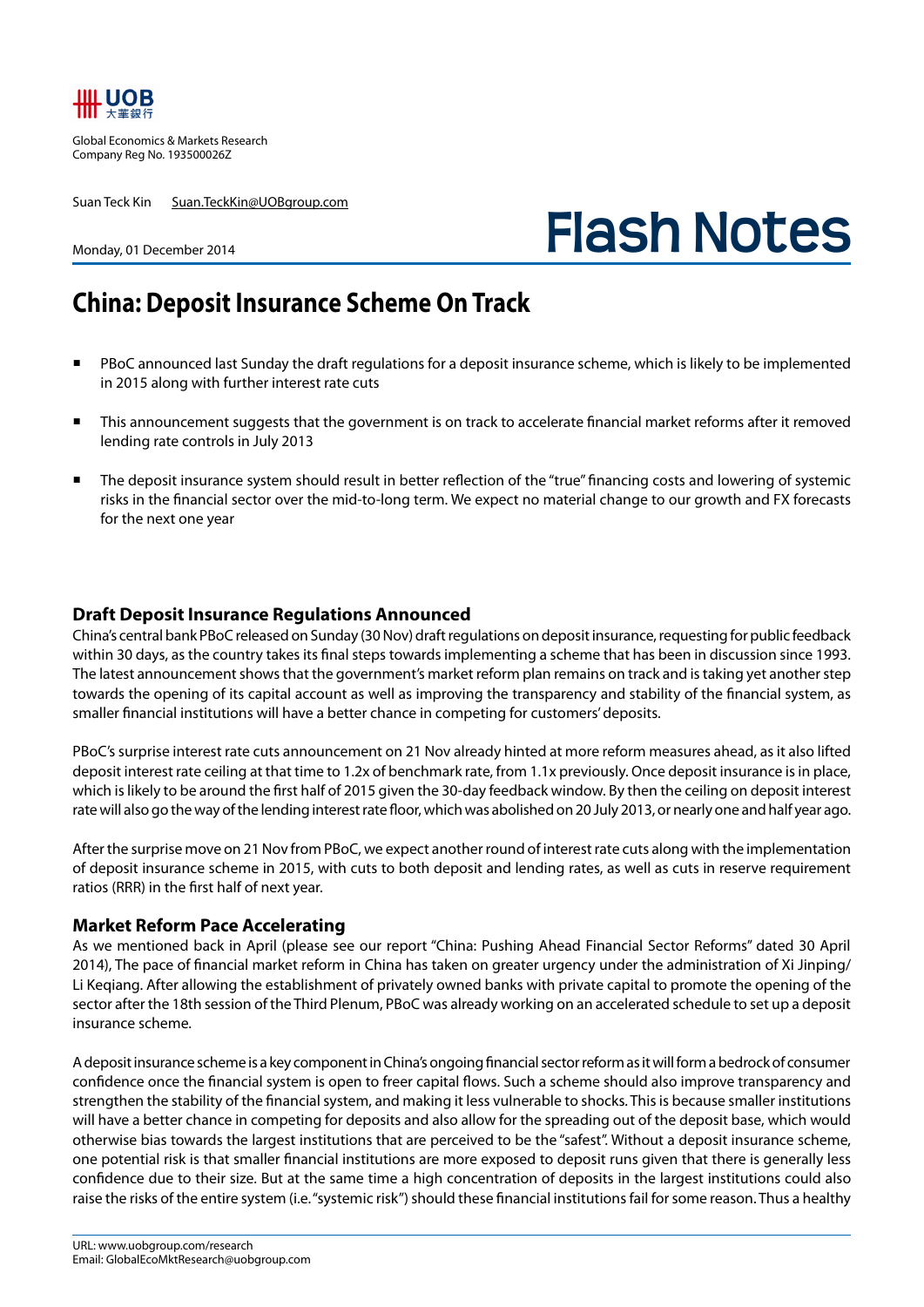

Global Economics & Markets Research Company Reg No. 193500026Z

Suan Teck Kin Suan.TeckKin@UOBgroup.com

# **Flash Notes**

#### Monday, 01 December 2014

## **China: Deposit Insurance Scheme On Track**

- PBoC announced last Sunday the draft regulations for a deposit insurance scheme, which is likely to be implemented in 2015 along with further interest rate cuts
- This announcement suggests that the government is on track to accelerate financial market reforms after it removed lending rate controls in July 2013
- The deposit insurance system should result in better reflection of the "true" financing costs and lowering of systemic risks in the financial sector over the mid-to-long term. We expect no material change to our growth and FX forecasts for the next one year

#### **Draft Deposit Insurance Regulations Announced**

China's central bank PBoC released on Sunday (30 Nov) draft regulations on deposit insurance, requesting for public feedback within 30 days, as the country takes its final steps towards implementing a scheme that has been in discussion since 1993. The latest announcement shows that the government's market reform plan remains on track and is taking yet another step towards the opening of its capital account as well as improving the transparency and stability of the financial system, as smaller financial institutions will have a better chance in competing for customers' deposits.

PBoC's surprise interest rate cuts announcement on 21 Nov already hinted at more reform measures ahead, as it also lifted deposit interest rate ceiling at that time to 1.2x of benchmark rate, from 1.1x previously. Once deposit insurance is in place, which is likely to be around the first half of 2015 given the 30-day feedback window. By then the ceiling on deposit interest rate will also go the way of the lending interest rate floor, which was abolished on 20 July 2013, or nearly one and half year ago.

After the surprise move on 21 Nov from PBoC, we expect another round of interest rate cuts along with the implementation of deposit insurance scheme in 2015, with cuts to both deposit and lending rates, as well as cuts in reserve requirement ratios (RRR) in the first half of next year.

#### **Market Reform Pace Accelerating**

As we mentioned back in April (please see our report "China: Pushing Ahead Financial Sector Reforms" dated 30 April 2014), The pace of financial market reform in China has taken on greater urgency under the administration of Xi Jinping/ Li Keqiang. After allowing the establishment of privately owned banks with private capital to promote the opening of the sector after the 18th session of the Third Plenum, PBoC was already working on an accelerated schedule to set up a deposit insurance scheme.

A deposit insurance scheme is a key component in China's ongoing financial sector reform as it will form a bedrock of consumer confidence once the financial system is open to freer capital flows. Such a scheme should also improve transparency and strengthen the stability of the financial system, and making it less vulnerable to shocks. This is because smaller institutions will have a better chance in competing for deposits and also allow for the spreading out of the deposit base, which would otherwise bias towards the largest institutions that are perceived to be the "safest". Without a deposit insurance scheme, one potential risk is that smaller financial institutions are more exposed to deposit runs given that there is generally less confidence due to their size. But at the same time a high concentration of deposits in the largest institutions could also raise the risks of the entire system (i.e. "systemic risk") should these financial institutions fail for some reason. Thus a healthy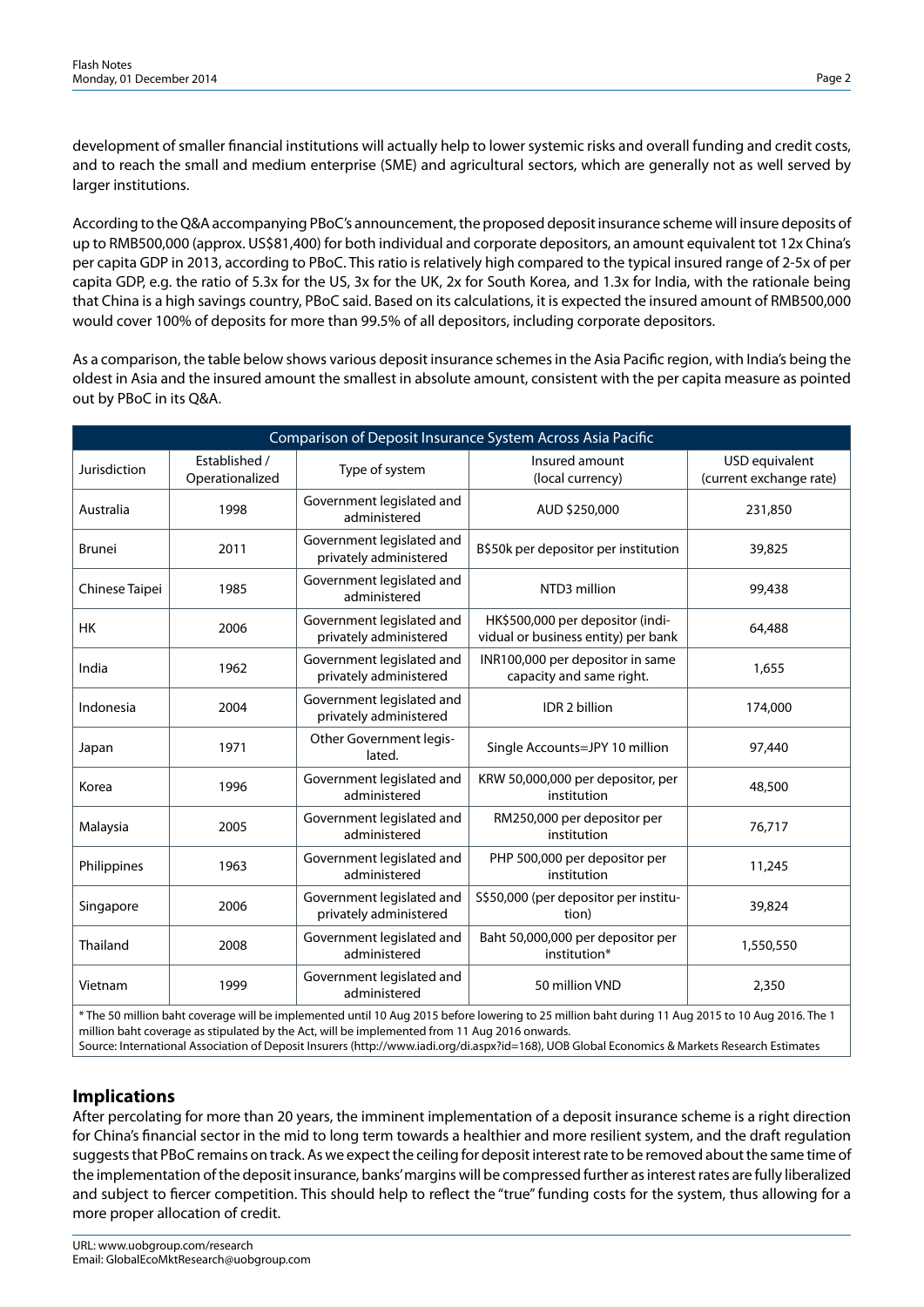development of smaller financial institutions will actually help to lower systemic risks and overall funding and credit costs, and to reach the small and medium enterprise (SME) and agricultural sectors, which are generally not as well served by larger institutions.

According to the Q&A accompanying PBoC's announcement, the proposed deposit insurance scheme will insure deposits of up to RMB500,000 (approx. US\$81,400) for both individual and corporate depositors, an amount equivalent tot 12x China's per capita GDP in 2013, according to PBoC. This ratio is relatively high compared to the typical insured range of 2-5x of per capita GDP, e.g. the ratio of 5.3x for the US, 3x for the UK, 2x for South Korea, and 1.3x for India, with the rationale being that China is a high savings country, PBoC said. Based on its calculations, it is expected the insured amount of RMB500,000 would cover 100% of deposits for more than 99.5% of all depositors, including corporate depositors.

As a comparison, the table below shows various deposit insurance schemes in the Asia Pacific region, with India's being the oldest in Asia and the insured amount the smallest in absolute amount, consistent with the per capita measure as pointed out by PBoC in its Q&A.

| Comparison of Deposit Insurance System Across Asia Pacific                                                                                       |                                  |                                                     |                                                                         |                                           |  |  |  |  |  |
|--------------------------------------------------------------------------------------------------------------------------------------------------|----------------------------------|-----------------------------------------------------|-------------------------------------------------------------------------|-------------------------------------------|--|--|--|--|--|
| Jurisdiction                                                                                                                                     | Established /<br>Operationalized | Type of system                                      | Insured amount<br>(local currency)                                      | USD equivalent<br>(current exchange rate) |  |  |  |  |  |
| Australia                                                                                                                                        | 1998                             | Government legislated and<br>administered           | AUD \$250,000                                                           | 231,850                                   |  |  |  |  |  |
| <b>Brunei</b>                                                                                                                                    | 2011                             | Government legislated and<br>privately administered | B\$50k per depositor per institution                                    | 39,825                                    |  |  |  |  |  |
| Chinese Taipei                                                                                                                                   | 1985                             | Government legislated and<br>administered           | NTD3 million                                                            | 99,438                                    |  |  |  |  |  |
| <b>HK</b>                                                                                                                                        | 2006                             | Government legislated and<br>privately administered | HK\$500,000 per depositor (indi-<br>vidual or business entity) per bank | 64,488                                    |  |  |  |  |  |
| India                                                                                                                                            | 1962                             | Government legislated and<br>privately administered | INR100,000 per depositor in same<br>capacity and same right.            | 1,655                                     |  |  |  |  |  |
| Indonesia                                                                                                                                        | 2004                             | Government legislated and<br>privately administered | IDR 2 billion                                                           | 174,000                                   |  |  |  |  |  |
| Japan                                                                                                                                            | 1971                             | Other Government legis-<br>lated.                   | Single Accounts=JPY 10 million                                          | 97,440                                    |  |  |  |  |  |
| Korea                                                                                                                                            | 1996                             | Government legislated and<br>administered           | KRW 50,000,000 per depositor, per<br>institution                        | 48,500                                    |  |  |  |  |  |
| Malaysia                                                                                                                                         | 2005                             | Government legislated and<br>administered           | RM250,000 per depositor per<br>institution                              | 76,717                                    |  |  |  |  |  |
| Philippines                                                                                                                                      | 1963                             | Government legislated and<br>administered           | PHP 500,000 per depositor per<br>institution                            | 11,245                                    |  |  |  |  |  |
| Singapore                                                                                                                                        | 2006                             | Government legislated and<br>privately administered | S\$50,000 (per depositor per institu-<br>tion)                          | 39,824                                    |  |  |  |  |  |
| Thailand                                                                                                                                         | 2008                             | Government legislated and<br>administered           | Baht 50,000,000 per depositor per<br>institution*                       | 1,550,550                                 |  |  |  |  |  |
| Vietnam                                                                                                                                          | 1999                             | Government legislated and<br>administered           | 50 million VND                                                          | 2,350                                     |  |  |  |  |  |
| * The 50 million baht coverage will be implemented until 10 Aug 2015 before Jowering to 25 million baht during 11 Aug 2015 to 10 Aug 2016. The 1 |                                  |                                                     |                                                                         |                                           |  |  |  |  |  |

\* The 50 million baht coverage will be implemented until 10 Aug 2015 before lowering to 25 million baht during 11 Aug 2015 to 10 Aug 2016. The 1 million baht coverage as stipulated by the Act, will be implemented from 11 Aug 2016 onwards. Source: International Association of Deposit Insurers (http://www.iadi.org/di.aspx?id=168), UOB Global Economics & Markets Research Estimates

### **Implications**

After percolating for more than 20 years, the imminent implementation of a deposit insurance scheme is a right direction for China's financial sector in the mid to long term towards a healthier and more resilient system, and the draft regulation suggests that PBoC remains on track. As we expect the ceiling for deposit interest rate to be removed about the same time of the implementation of the deposit insurance, banks' margins will be compressed further as interest rates are fully liberalized and subject to fiercer competition. This should help to reflect the "true" funding costs for the system, thus allowing for a more proper allocation of credit.